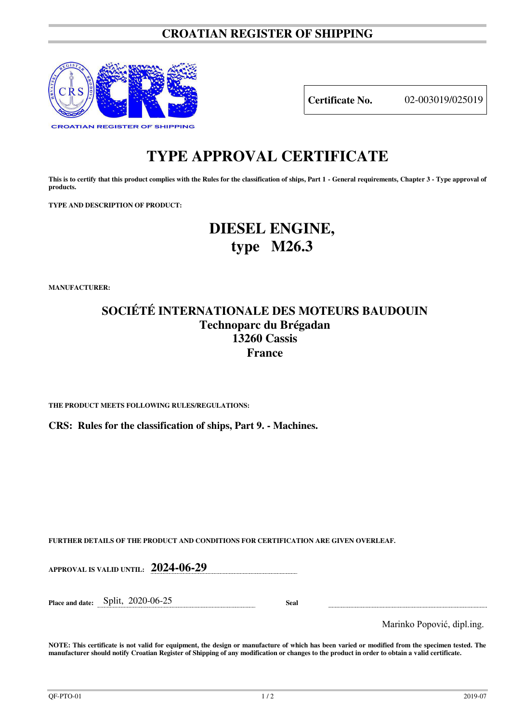### **CROATIAN REGISTER OF SHIPPING**



**Certificate No.** 02-003019/025019

# **TYPE APPROVAL CERTIFICATE**

This is to certify that this product complies with the Rules for the classification of ships, Part 1 - General requirements, Chapter 3 - Type approval of **products.** 

**TYPE AND DESCRIPTION OF PRODUCT:** 

# **DIESEL ENGINE, type M26.3**

**MANUFACTURER:**

### **SOCIÉTÉ INTERNATIONALE DES MOTEURS BAUDOUIN Technoparc du Brégadan 13260 Cassis France**

**THE PRODUCT MEETS FOLLOWING RULES/REGULATIONS:**

**CRS: Rules for the classification of ships, Part 9. - Machines.**

**FURTHER DETAILS OF THE PRODUCT AND CONDITIONS FOR CERTIFICATION ARE GIVEN OVERLEAF.**

| APPROVAL IS VALID UNTIL: 2024-06-29  |             |                            |
|--------------------------------------|-------------|----------------------------|
| Place and date: $Split$ , 2020-06-25 | <b>Seal</b> |                            |
|                                      |             | Marinko Popović, dipl.ing. |

**NOTE: This certificate is not valid for equipment, the design or manufacture of which has been varied or modified from the specimen tested. The manufacturer should notify Croatian Register of Shipping of any modification or changes to the product in order to obtain a valid certificate.**